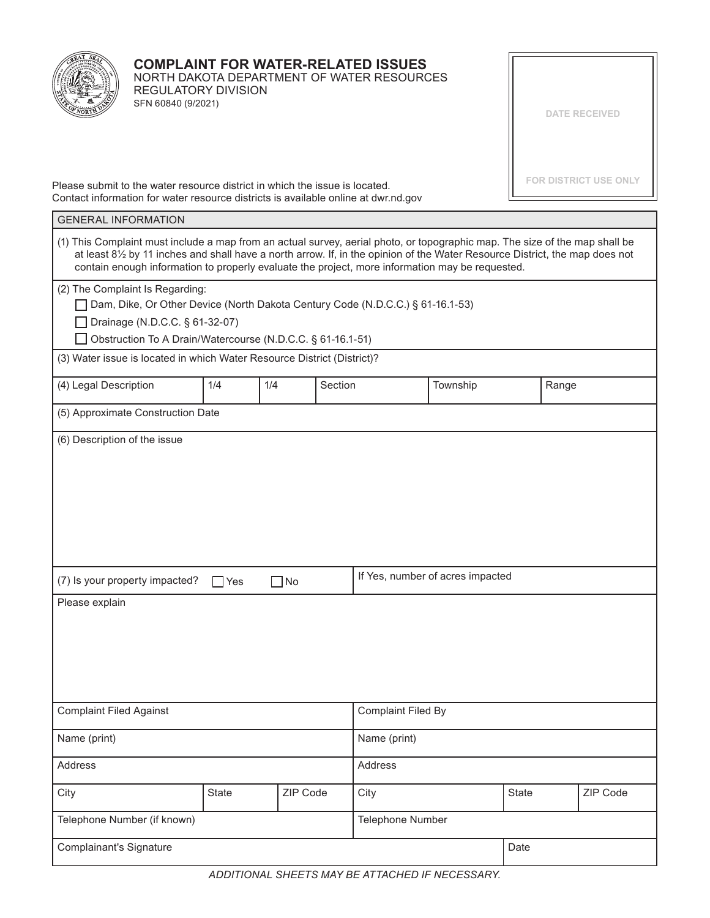

## **COMPLAINT FOR WATER-RELATED ISSUES** NORTH DAKOTA DEPARTMENT OF WATER RESOURCES

REGULATORY DIVISION SFN 60840 (9/2021)

**DATE RECEIVED**

**FOR DISTRICT USE ONLY**

Please submit to the water resource district in which the issue is located. Contact information for water resource districts is available online at dwr.nd.gov

| <b>GENERAL INFORMATION</b>                                                                                                                                                                                                                                                                                                                                     |              |          |                                  |                           |          |       |          |  |  |
|----------------------------------------------------------------------------------------------------------------------------------------------------------------------------------------------------------------------------------------------------------------------------------------------------------------------------------------------------------------|--------------|----------|----------------------------------|---------------------------|----------|-------|----------|--|--|
| (1) This Complaint must include a map from an actual survey, aerial photo, or topographic map. The size of the map shall be<br>at least 81/2 by 11 inches and shall have a north arrow. If, in the opinion of the Water Resource District, the map does not<br>contain enough information to properly evaluate the project, more information may be requested. |              |          |                                  |                           |          |       |          |  |  |
| (2) The Complaint Is Regarding:                                                                                                                                                                                                                                                                                                                                |              |          |                                  |                           |          |       |          |  |  |
| Dam, Dike, Or Other Device (North Dakota Century Code (N.D.C.C.) § 61-16.1-53)                                                                                                                                                                                                                                                                                 |              |          |                                  |                           |          |       |          |  |  |
| Drainage (N.D.C.C. § 61-32-07)                                                                                                                                                                                                                                                                                                                                 |              |          |                                  |                           |          |       |          |  |  |
| Obstruction To A Drain/Watercourse (N.D.C.C. § 61-16.1-51)                                                                                                                                                                                                                                                                                                     |              |          |                                  |                           |          |       |          |  |  |
| (3) Water issue is located in which Water Resource District (District)?                                                                                                                                                                                                                                                                                        |              |          |                                  |                           |          |       |          |  |  |
| (4) Legal Description                                                                                                                                                                                                                                                                                                                                          | 1/4          | 1/4      | Section                          |                           | Township | Range |          |  |  |
| (5) Approximate Construction Date                                                                                                                                                                                                                                                                                                                              |              |          |                                  |                           |          |       |          |  |  |
| (6) Description of the issue                                                                                                                                                                                                                                                                                                                                   |              |          |                                  |                           |          |       |          |  |  |
|                                                                                                                                                                                                                                                                                                                                                                |              |          |                                  |                           |          |       |          |  |  |
|                                                                                                                                                                                                                                                                                                                                                                |              |          |                                  |                           |          |       |          |  |  |
|                                                                                                                                                                                                                                                                                                                                                                |              |          |                                  |                           |          |       |          |  |  |
|                                                                                                                                                                                                                                                                                                                                                                |              |          |                                  |                           |          |       |          |  |  |
|                                                                                                                                                                                                                                                                                                                                                                |              |          |                                  |                           |          |       |          |  |  |
|                                                                                                                                                                                                                                                                                                                                                                |              |          |                                  |                           |          |       |          |  |  |
|                                                                                                                                                                                                                                                                                                                                                                |              |          |                                  |                           |          |       |          |  |  |
| (7) Is your property impacted?<br>$\Box$ No<br>$\Box$ Yes                                                                                                                                                                                                                                                                                                      |              |          | If Yes, number of acres impacted |                           |          |       |          |  |  |
| Please explain                                                                                                                                                                                                                                                                                                                                                 |              |          |                                  |                           |          |       |          |  |  |
|                                                                                                                                                                                                                                                                                                                                                                |              |          |                                  |                           |          |       |          |  |  |
|                                                                                                                                                                                                                                                                                                                                                                |              |          |                                  |                           |          |       |          |  |  |
|                                                                                                                                                                                                                                                                                                                                                                |              |          |                                  |                           |          |       |          |  |  |
|                                                                                                                                                                                                                                                                                                                                                                |              |          |                                  |                           |          |       |          |  |  |
|                                                                                                                                                                                                                                                                                                                                                                |              |          |                                  |                           |          |       |          |  |  |
| <b>Complaint Filed Against</b>                                                                                                                                                                                                                                                                                                                                 |              |          |                                  | <b>Complaint Filed By</b> |          |       |          |  |  |
|                                                                                                                                                                                                                                                                                                                                                                |              |          |                                  | Name (print)              |          |       |          |  |  |
| Name (print)                                                                                                                                                                                                                                                                                                                                                   |              |          |                                  |                           |          |       |          |  |  |
| Address                                                                                                                                                                                                                                                                                                                                                        |              |          | Address                          |                           |          |       |          |  |  |
| City                                                                                                                                                                                                                                                                                                                                                           | <b>State</b> | ZIP Code |                                  | City                      |          | State | ZIP Code |  |  |
| Telephone Number (if known)                                                                                                                                                                                                                                                                                                                                    |              |          | Telephone Number                 |                           |          |       |          |  |  |
| <b>Complainant's Signature</b>                                                                                                                                                                                                                                                                                                                                 |              |          |                                  | Date                      |          |       |          |  |  |
|                                                                                                                                                                                                                                                                                                                                                                |              |          |                                  |                           |          |       |          |  |  |